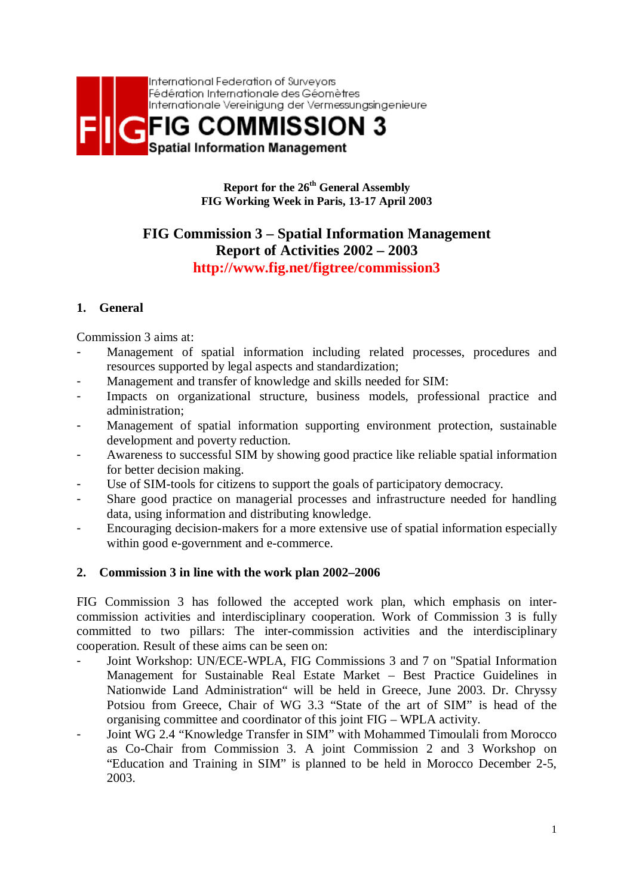

**Report for the 26th General Assembly FIG Working Week in Paris, 13-17 April 2003** 

# **FIG Commission 3 – Spatial Information Management Report of Activities 2002 – 2003 http://www.fig.net/figtree/commission3**

# **1. General**

Commission 3 aims at:

- Management of spatial information including related processes, procedures and resources supported by legal aspects and standardization;
- Management and transfer of knowledge and skills needed for SIM:
- Impacts on organizational structure, business models, professional practice and administration;
- Management of spatial information supporting environment protection, sustainable development and poverty reduction.
- Awareness to successful SIM by showing good practice like reliable spatial information for better decision making.
- Use of SIM-tools for citizens to support the goals of participatory democracy.
- Share good practice on managerial processes and infrastructure needed for handling data, using information and distributing knowledge.
- Encouraging decision-makers for a more extensive use of spatial information especially within good e-government and e-commerce.

### **2. Commission 3 in line with the work plan 2002–2006**

FIG Commission 3 has followed the accepted work plan, which emphasis on intercommission activities and interdisciplinary cooperation. Work of Commission 3 is fully committed to two pillars: The inter-commission activities and the interdisciplinary cooperation. Result of these aims can be seen on:

- Joint Workshop: UN/ECE-WPLA, FIG Commissions 3 and 7 on "Spatial Information Management for Sustainable Real Estate Market – Best Practice Guidelines in Nationwide Land Administration" will be held in Greece, June 2003. Dr. Chryssy Potsiou from Greece, Chair of WG 3.3 "State of the art of SIM" is head of the organising committee and coordinator of this joint FIG – WPLA activity.
- Joint WG 2.4 "Knowledge Transfer in SIM" with Mohammed Timoulali from Morocco as Co-Chair from Commission 3. A joint Commission 2 and 3 Workshop on "Education and Training in SIM" is planned to be held in Morocco December 2-5, 2003.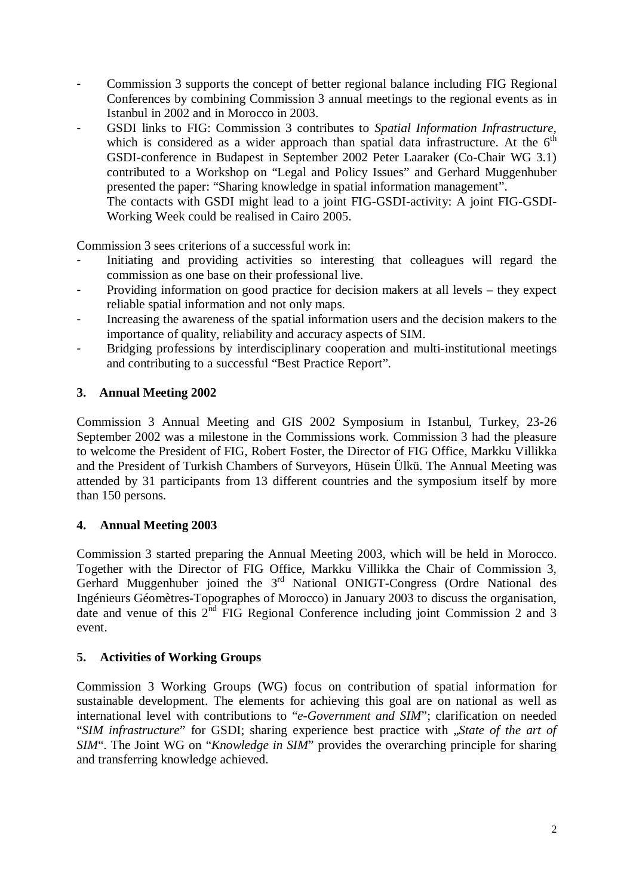- Commission 3 supports the concept of better regional balance including FIG Regional Conferences by combining Commission 3 annual meetings to the regional events as in Istanbul in 2002 and in Morocco in 2003.
- GSDI links to FIG: Commission 3 contributes to *Spatial Information Infrastructure*, which is considered as a wider approach than spatial data infrastructure. At the  $6<sup>th</sup>$ GSDI-conference in Budapest in September 2002 Peter Laaraker (Co-Chair WG 3.1) contributed to a Workshop on "Legal and Policy Issues" and Gerhard Muggenhuber presented the paper: "Sharing knowledge in spatial information management".

 The contacts with GSDI might lead to a joint FIG-GSDI-activity: A joint FIG-GSDI-Working Week could be realised in Cairo 2005.

Commission 3 sees criterions of a successful work in:

- Initiating and providing activities so interesting that colleagues will regard the commission as one base on their professional live.
- Providing information on good practice for decision makers at all levels they expect reliable spatial information and not only maps.
- Increasing the awareness of the spatial information users and the decision makers to the importance of quality, reliability and accuracy aspects of SIM.
- Bridging professions by interdisciplinary cooperation and multi-institutional meetings and contributing to a successful "Best Practice Report".

# **3. Annual Meeting 2002**

Commission 3 Annual Meeting and GIS 2002 Symposium in Istanbul, Turkey, 23-26 September 2002 was a milestone in the Commissions work. Commission 3 had the pleasure to welcome the President of FIG, Robert Foster, the Director of FIG Office, Markku Villikka and the President of Turkish Chambers of Surveyors, Hüsein Ülkü. The Annual Meeting was attended by 31 participants from 13 different countries and the symposium itself by more than 150 persons.

### **4. Annual Meeting 2003**

Commission 3 started preparing the Annual Meeting 2003, which will be held in Morocco. Together with the Director of FIG Office, Markku Villikka the Chair of Commission 3, Gerhard Muggenhuber joined the 3<sup>rd</sup> National ONIGT-Congress (Ordre National des Ingénieurs Géomètres-Topographes of Morocco) in January 2003 to discuss the organisation, date and venue of this  $2<sup>nd</sup>$  FIG Regional Conference including joint Commission 2 and 3 event.

### **5. Activities of Working Groups**

Commission 3 Working Groups (WG) focus on contribution of spatial information for sustainable development. The elements for achieving this goal are on national as well as international level with contributions to "*e-Government and SIM*"; clarification on needed "*SIM infrastructure*" for GSDI; sharing experience best practice with "*State of the art of SIM*". The Joint WG on "*Knowledge in SIM*" provides the overarching principle for sharing and transferring knowledge achieved.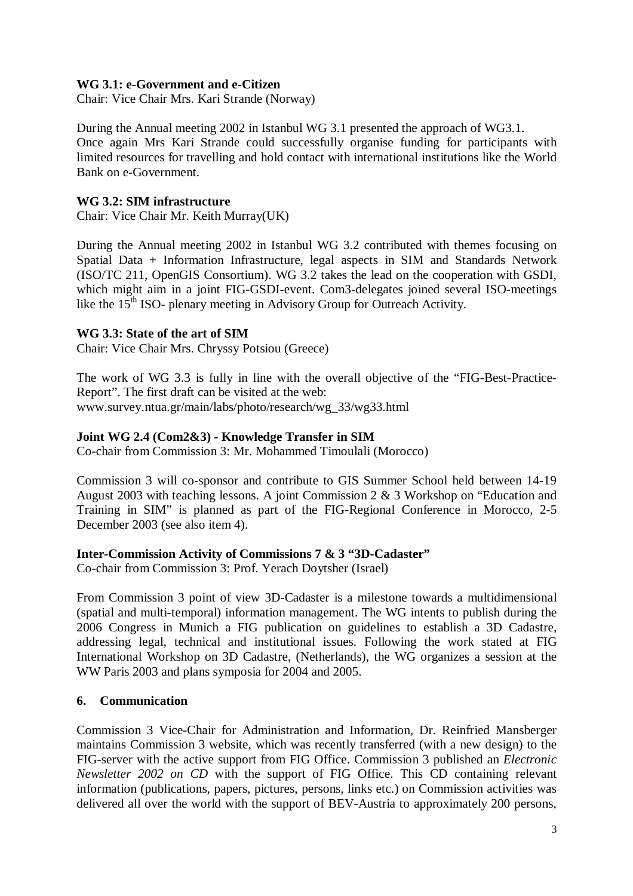#### **WG 3.1: e-Government and e-Citizen**

Chair: Vice Chair Mrs. Kari Strande (Norway)

During the Annual meeting 2002 in Istanbul WG 3.1 presented the approach of WG3.1. Once again Mrs Kari Strande could successfully organise funding for participants with limited resources for travelling and hold contact with international institutions like the World Bank on e-Government.

#### **WG 3.2: SIM infrastructure**

Chair: Vice Chair Mr. Keith Murray(UK)

During the Annual meeting 2002 in Istanbul WG 3.2 contributed with themes focusing on Spatial Data + Information Infrastructure, legal aspects in SIM and Standards Network (ISO/TC 211, OpenGIS Consortium). WG 3.2 takes the lead on the cooperation with GSDI, which might aim in a joint FIG-GSDI-event. Com3-delegates joined several ISO-meetings like the 15<sup>th</sup> ISO- plenary meeting in Advisory Group for Outreach Activity.

#### **WG 3.3: State of the art of SIM**

Chair: Vice Chair Mrs. Chryssy Potsiou (Greece)

The work of WG 3.3 is fully in line with the overall objective of the "FIG-Best-Practice-Report". The first draft can be visited at the web: www.survey.ntua.gr/main/labs/photo/research/wg\_33/wg33.html

#### **Joint WG 2.4 (Com2&3) - Knowledge Transfer in SIM**

Co-chair from Commission 3: Mr. Mohammed Timoulali (Morocco)

Commission 3 will co-sponsor and contribute to GIS Summer School held between 14-19 August 2003 with teaching lessons. A joint Commission 2 & 3 Workshop on "Education and Training in SIM" is planned as part of the FIG-Regional Conference in Morocco, 2-5 December 2003 (see also item 4).

#### **Inter-Commission Activity of Commissions 7 & 3 "3D-Cadaster"**

Co-chair from Commission 3: Prof. Yerach Doytsher (Israel)

From Commission 3 point of view 3D-Cadaster is a milestone towards a multidimensional (spatial and multi-temporal) information management. The WG intents to publish during the 2006 Congress in Munich a FIG publication on guidelines to establish a 3D Cadastre, addressing legal, technical and institutional issues. Following the work stated at FIG International Workshop on 3D Cadastre, (Netherlands), the WG organizes a session at the WW Paris 2003 and plans symposia for 2004 and 2005.

### **6. Communication**

Commission 3 Vice-Chair for Administration and Information, Dr. Reinfried Mansberger maintains Commission 3 website, which was recently transferred (with a new design) to the FIG-server with the active support from FIG Office. Commission 3 published an *Electronic Newsletter 2002 on CD* with the support of FIG Office. This CD containing relevant information (publications, papers, pictures, persons, links etc.) on Commission activities was delivered all over the world with the support of BEV-Austria to approximately 200 persons,